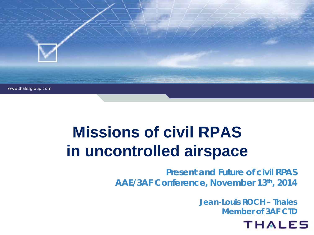

# **Missions of civil RPAS in uncontrolled airspace**

**Present and Future of civil RPAS AAE/3AF Conference, November 13th, 2014**

> **Jean-Louis ROCH – Thales Member of 3AF CTD**

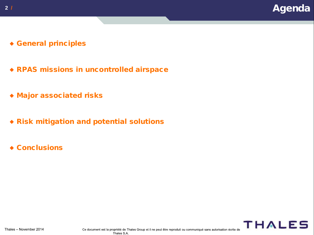- General principles
- RPAS missions in uncontrolled airspace
- Major associated risks
- Risk mitigation and potential solutions
- ◆ Conclusions

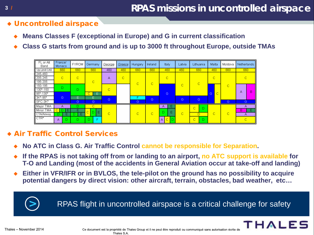### **3 / RPAS missions in uncontrolled airspace**

- Uncontrolled airspace
	- **Means Classes F (exceptional in Europe) and G in current classification**
	- **Class G starts from ground and is up to 3000 ft throughout Europe, outside TMAs**



### Air Traffic Control Services

- **No ATC in Class G. Air Traffic Control cannot be responsible for Separation.**
- **If the RPAS is not taking off from or landing to an airport, no ATC support is available for T-O and Landing (most of the accidents in General Aviation occur at take-off and landing)**
- **Either in VFR/IFR or in BVLOS, the tele-pilot on the ground has no possibility to acquire potential dangers by direct vision: other aircraft, terrain, obstacles, bad weather, etc…**

**>** RPAS flight in uncontrolled airspace is a critical challenge for safety

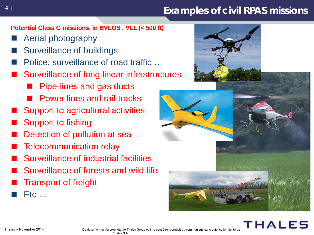### **4 / Examples of civil RPAS missions**

**Potential Class G missions, in BVLOS , VLL (< 500 ft)**

- Aerial photography
- Surveillance of buildings
- Police, surveillance of road traffic …
- Surveillance of long linear infrastructures
	- **Pipe-lines and gas ducts**
	- **Power lines and rail tracks**
- Support to agricultural activities
- Support to fishing
- Detection of pollution at sea
- Telecommunication relay
- Surveillance of industrial facilities
- Surveillance of forests and wild life
- Transport of freight
- Etc …





Ce document est la propriété de Thales Group et il ne peut être reproduit ou communiqué sans autorisation écrite de Thales S.A.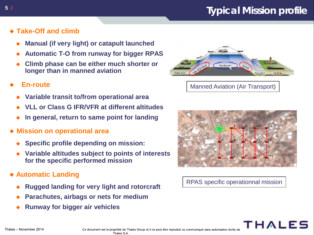### **5 / Typical Mission profile**

- **Take-Off and climb**
	- **Manual (if very light) or catapult launched**
	- **Automatic T-O from runway for bigger RPAS**
	- **Climb phase can be either much shorter or longer than in manned aviation**

#### **En-route**

- **Variable transit to/from operational area**
- **VLL or Class G IFR/VFR at different altitudes**
- **In general, return to same point for landing**
- **Mission on operational area**
	- **Specific profile depending on mission:**
	- **Variable altitudes subject to points of interests for the specific performed mission**
- **Automatic Landing**
	- **Rugged landing for very light and rotorcraft**
	- **Parachutes, airbags or nets for medium**
	- **Runway for bigger air vehicles**



#### Manned Aviation (Air Transport)



#### RPAS specific operationnal mission

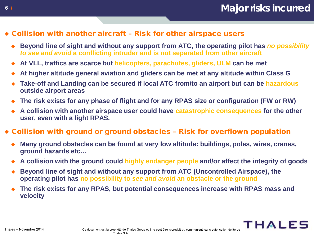- Collision with another aircraft Risk for other airspace users
	- **Beyond line of sight and without any support from ATC, the operating pilot has** *no possibility to see and avoid* **a conflicting intruder and is not separated from other aircraft**
	- **At VLL, traffics are scarce but helicopters, parachutes, gliders, ULM can be met**
	- **At higher altitude general aviation and gliders can be met at any altitude within Class G**
	- **Take-off and Landing can be secured if local ATC from/to an airport but can be hazardous outside airport areas**
	- **The risk exists for any phase of flight and for any RPAS size or configuration (FW or RW)**
	- **A collision with another airspace user could have catastrophic consequences for the other user, even with a light RPAS.**

#### Collision with ground or ground obstacles – Risk for overflown population

- **Many ground obstacles can be found at very low altitude: buildings, poles, wires, cranes, ground hazards etc…**
- **A collision with the ground could highly endanger people and/or affect the integrity of goods**
- **Beyond line of sight and without any support from ATC (Uncontrolled Airspace), the operating pilot has no possibility to** *see and avoid* **an obstacle or the ground**
- **The risk exists for any RPAS, but potential consequences increase with RPAS mass and velocity**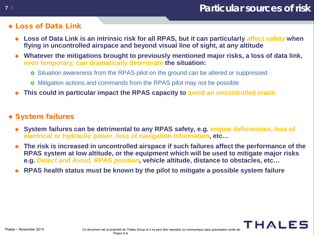#### Loss of Data Link

- **Loss of Data Link is an intrinsic risk for all RPAS, but it can particularly affect safety when flying in uncontrolled airspace and beyond visual line of sight, at any altitude**
- **Whatever the mitigations brought to previously mentioned major risks, a loss of data link, even temporary, can dramatically deteriorate the situation:**
	- **o** Situation awareness from the RPAS pilot on the ground can be altered or suppressed
	- **o** Mitigation actions and commands from the RPAS pilot may not be possible
- **This could in particular impact the RPAS capacity to avoid an uncontrolled crash**

### System failures

- **System failures can be detrimental to any RPAS safety, e.g. engine deficiencies, loss of electrical or hydraulic power, loss of navigation information, etc…**
- **The risk is increased in uncontrolled airspace if such failures affect the performance of the RPAS system at low altitude, or the equipment which will be used to mitigate major risks e.g.** *Detect and Avoid, RPAS position,* **vehicle altitude, distance to obstacles, etc…**
- **RPAS health status must be known by the pilot to mitigate a possible system failure**

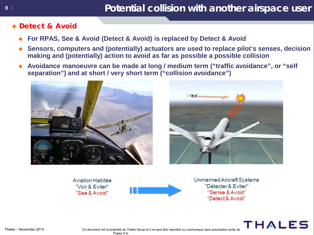### **8 / Potential collision with another airspace user**

#### Detect & Avoid

- **For RPAS, See & Avoid (Detect & Avoid) is replaced by Detect & Avoid**
- **Sensors, computers and (potentially) actuators are used to replace pilot's senses, decision making and (potentially) action to avoid as far as possible a possible collision**
- **Avoidance manoeuvre can be made at long / medium term ("traffic avoidance", or "self separation") and at short / very short term ("collision avoidance")**





**Aviation Habitée** "Voir & Eviter" "See & Avoid"



Unmanned Aircraft Systems "Détecter & Eviter" "Sense & Avoid" "Detect & Avoid"

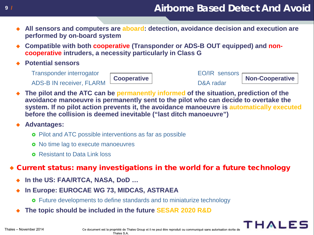### **9 / Airborne Based Detect And Avoid**

- **All sensors and computers are aboard: detection, avoidance decision and execution are performed by on-board system**
- **Compatible with both cooperative (Transponder or ADS-B OUT equipped) and noncooperative intruders, a necessity particularly in Class G**
- **Potential sensors**

Transponder interrogator EO/IR sensors<br>
Cooperative ADS-B IN receiver, FLARM **DESET AND SET ARE A REALLY SET AND SET A** POSA radar





THALE

 **The pilot and the ATC can be permanently informed of the situation, prediction of the avoidance manoeuvre is permanently sent to the pilot who can decide to overtake the system. If no pilot action prevents it, the avoidance manoeuvre is automatically executed before the collision is deemed inevitable ("last ditch manoeuvre")**

#### **Advantages:**

- **o** Pilot and ATC possible interventions as far as possible
- **o** No time lag to execute manoeuvres
- **o** Resistant to Data Link loss
- Current status: many investigations in the world for a future technology
	- **In the US: FAA/RTCA, NASA, DoD …**
	- **In Europe: EUROCAE WG 73, MIDCAS, ASTRAEA**
		- **o** Future developments to define standards and to miniaturize technology
	- **The topic should be included in the future SESAR 2020 R&D**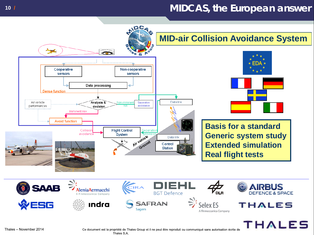### **10 / MIDCAS, the European answer**

**MID-air Collision Avoidance System**





**Basis for a standard Generic system study Extended simulation Real flight tests**



**DCA** 



Ce document est la propriété de Thales Group et il ne peut être reproduit ou communiqué sans autorisation écrite de Thales S.A.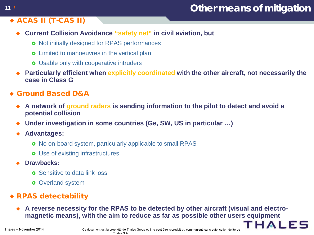### **11 / Other means of mitigation**

HAIFS

### ACAS II (T-CAS II)

- **Current Collision Avoidance "safety net" in civil aviation, but**
	- **o** Not initially designed for RPAS performances
	- **o** Limited to manoeuvres in the vertical plan
	- **o** Usable only with cooperative intruders
- **Particularly efficient when explicitly coordinated with the other aircraft, not necessarily the case in Class G**
- Ground Based D&A
	- **A network of ground radars is sending information to the pilot to detect and avoid a potential collision**
	- **Under investigation in some countries (Ge, SW, US in particular …)**
	- **Advantages:**
		- **o** No on-board system, particularly applicable to small RPAS
		- **o** Use of existing infrastructures
	- **Drawbacks:**
		- **o** Sensitive to data link loss
		- **o** Overland system

### RPAS detectability

 **A reverse necessity for the RPAS to be detected by other aircraft (visual and electromagnetic means), with the aim to reduce as far as possible other users equipment**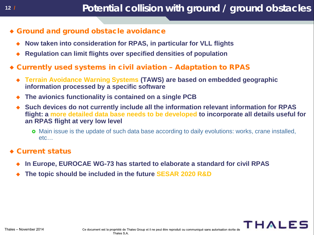- Ground and ground obstacle avoidance
	- **Now taken into consideration for RPAS, in particular for VLL flights**
	- **Regulation can limit flights over specified densities of population**
- Currently used systems in civil aviation Adaptation to RPAS
	- **Terrain Avoidance Warning Systems (TAWS) are based on embedded geographic information processed by a specific software**
	- **The avionics functionality is contained on a single PCB**
	- **Such devices do not currently include all the information relevant information for RPAS flight: a more detailed data base needs to be developed to incorporate all details useful for an RPAS flight at very low level**
		- **o** Main issue is the update of such data base according to daily evolutions: works, crane installed, etc…

#### Current status

- **In Europe, EUROCAE WG-73 has started to elaborate a standard for civil RPAS**
- **The topic should be included in the future SESAR 2020 R&D**

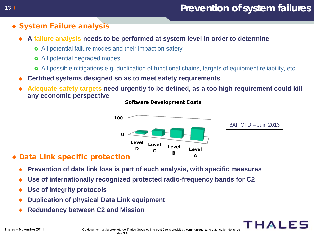### **13 / Prevention of system failures**

### System Failure analysis

- **A failure analysis needs to be performed at system level in order to determine** 
	- **o** All potential failure modes and their impact on safety
	- **o** All potential degraded modes
	- All possible mitigations e.g. duplication of functional chains, targets of equipment reliability, etc…
- **Certified systems designed so as to meet safety requirements**
- **Adequate safety targets need urgently to be defined, as a too high requirement could kill any economic perspective**



#### Software Development Costs

### Data Link specific protection

- **Prevention of data link loss is part of such analysis, with specific measures**
- **Use of internationally recognized protected radio-frequency bands for C2**
- **Use of integrity protocols**
- **Duplication of physical Data Link equipment**
- **Redundancy between C2 and Mission**

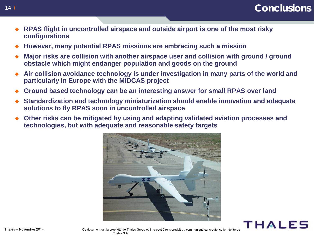- **RPAS flight in uncontrolled airspace and outside airport is one of the most risky configurations**
- **However, many potential RPAS missions are embracing such a mission**
- **Major risks are collision with another airspace user and collision with ground / ground obstacle which might endanger population and goods on the ground**
- **Air collision avoidance technology is under investigation in many parts of the world and particularly in Europe with the MIDCAS project**
- **Ground based technology can be an interesting answer for small RPAS over land**
- **Standardization and technology miniaturization should enable innovation and adequate solutions to fly RPAS soon in uncontrolled airspace**
- **Other risks can be mitigated by using and adapting validated aviation processes and technologies, but with adequate and reasonable safety targets**





Ce document est la propriété de Thales Group et il ne peut être reproduit ou communiqué sans autorisation écrite de Thales S.A.